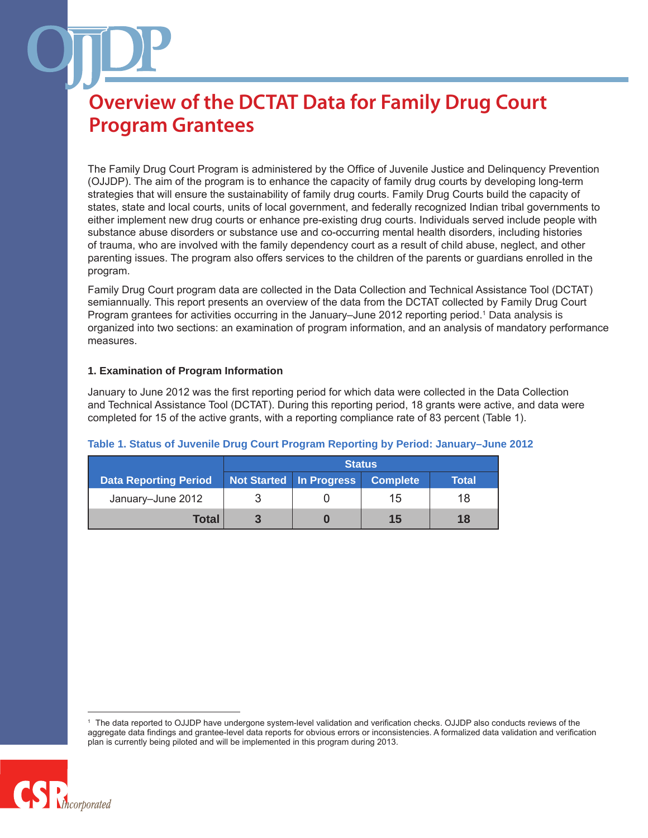The Family Drug Court Program is administered by the Office of Juvenile Justice and Delinquency Prevention (OJJDP). The aim of the program is to enhance the capacity of family drug courts by developing long-term strategies that will ensure the sustainability of family drug courts. Family Drug Courts build the capacity of states, state and local courts, units of local government, and federally recognized Indian tribal governments to either implement new drug courts or enhance pre-existing drug courts. Individuals served include people with substance abuse disorders or substance use and co-occurring mental health disorders, including histories of trauma, who are involved with the family dependency court as a result of child abuse, neglect, and other parenting issues. The program also offers services to the children of the parents or guardians enrolled in the program.

Family Drug Court program data are collected in the Data Collection and Technical Assistance Tool (DCTAT) semiannually. This report presents an overview of the data from the DCTAT collected by Family Drug Court Program grantees for activities occurring in the January–June 2012 reporting period.1 Data analysis is organized into two sections: an examination of program information, and an analysis of mandatory performance measures.

#### **1. Examination of Program Information**

January to June 2012 was the first reporting period for which data were collected in the Data Collection and Technical Assistance Tool (DCTAT). During this reporting period, 18 grants were active, and data were completed for 15 of the active grants, with a reporting compliance rate of 83 percent (Table 1).

|                              | <b>Status</b> |                           |                       |       |
|------------------------------|---------------|---------------------------|-----------------------|-------|
| <b>Data Reporting Period</b> |               | Not Started   In Progress | Complete <sup>'</sup> | Total |
| January-June 2012            |               |                           | 15                    | 18    |
| Total                        |               |                           | 15                    | 18    |

#### **Table 1. Status of Juvenile Drug Court Program Reporting by Period: January–June 2012**

<sup>1</sup> The data reported to OJJDP have undergone system-level validation and verification checks. OJJDP also conducts reviews of the aggregate data findings and grantee-level data reports for obvious errors or inconsistencies. A formalized data validation and verification plan is currently being piloted and will be implemented in this program during 2013.

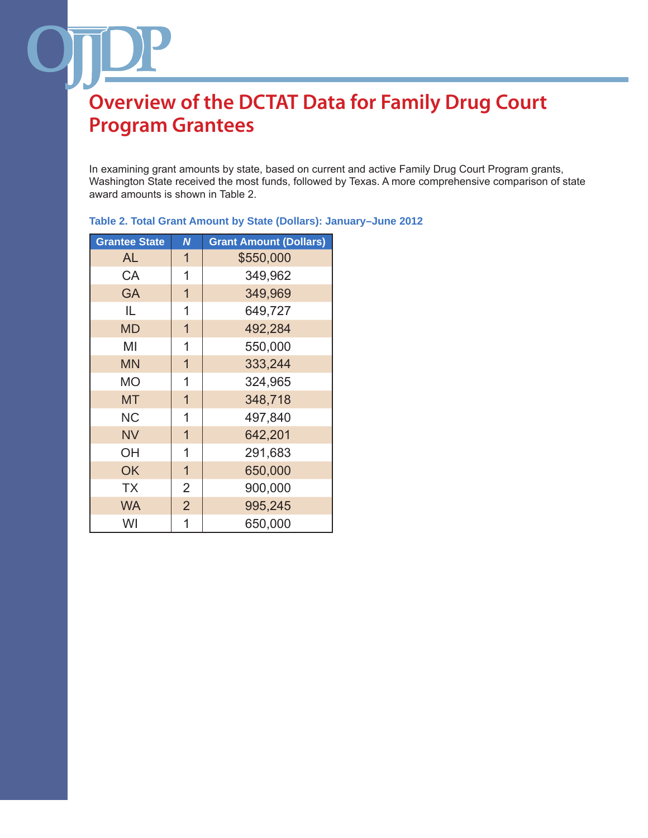In examining grant amounts by state, based on current and active Family Drug Court Program grants, Washington State received the most funds, followed by Texas. A more comprehensive comparison of state award amounts is shown in Table 2.

| <b>Grantee State</b> | N              | <b>Grant Amount (Dollars)</b> |
|----------------------|----------------|-------------------------------|
| AL                   | $\mathbf 1$    | \$550,000                     |
| CA                   | 1              | 349,962                       |
| <b>GA</b>            | $\overline{1}$ | 349,969                       |
| IL.                  | 1              | 649,727                       |
| <b>MD</b>            | $\mathbf{1}$   | 492,284                       |
| ΜI                   | 1              | 550,000                       |
| <b>MN</b>            | $\overline{1}$ | 333,244                       |
| <b>MO</b>            | 1              | 324,965                       |
| <b>MT</b>            | $\overline{1}$ | 348,718                       |
| <b>NC</b>            | 1              | 497,840                       |
| <b>NV</b>            | $\overline{1}$ | 642,201                       |
| OH                   | 1              | 291,683                       |
| OK                   | $\mathbf{1}$   | 650,000                       |
| <b>TX</b>            | $\overline{2}$ | 900,000                       |
| <b>WA</b>            | $\overline{2}$ | 995,245                       |
| WI                   | 1              | 650,000                       |

### **Table 2. Total Grant Amount by State (Dollars): January–June 2012**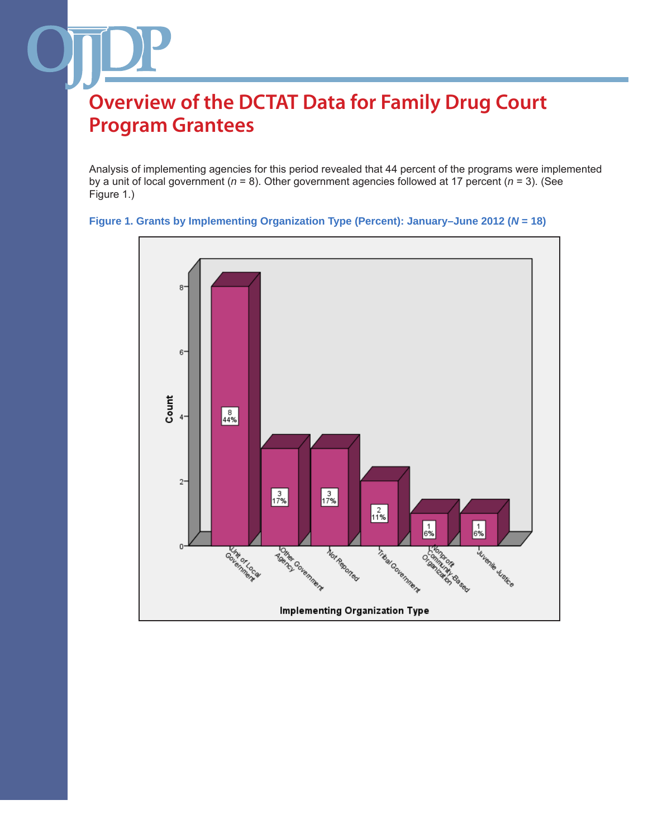Analysis of implementing agencies for this period revealed that 44 percent of the programs were implemented by a unit of local government (*n* = 8). Other government agencies followed at 17 percent (*n* = 3). (See Figure 1.)



### **Figure 1. Grants by Implementing Organization Type (Percent): January–June 2012 (***N* **= 18)**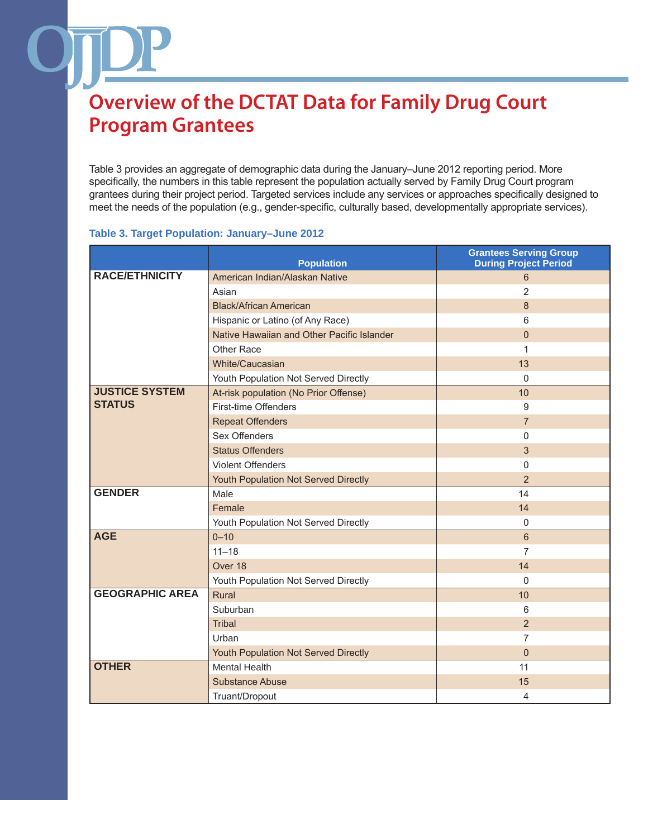Table 3 provides an aggregate of demographic data during the January–June 2012 reporting period. More specifically, the numbers in this table represent the population actually served by Family Drug Court program grantees during their project period. Targeted services include any services or approaches specifically designed to meet the needs of the population (e.g., gender-specific, culturally based, developmentally appropriate services).

#### **Table 3. Target Population: January–June 2012**

|                        | <b>Population</b>                          | <b>Grantees Serving Group</b><br><b>During Project Period</b> |
|------------------------|--------------------------------------------|---------------------------------------------------------------|
| <b>RACE/ETHNICITY</b>  | American Indian/Alaskan Native             | 6                                                             |
|                        | Asian                                      | $\overline{2}$                                                |
|                        | <b>Black/African American</b>              | $\boldsymbol{8}$                                              |
|                        | Hispanic or Latino (of Any Race)           | 6                                                             |
|                        | Native Hawaiian and Other Pacific Islander | $\Omega$                                                      |
|                        | Other Race                                 | 1                                                             |
|                        | White/Caucasian                            | 13                                                            |
|                        | Youth Population Not Served Directly       | $\mathbf{0}$                                                  |
| <b>JUSTICE SYSTEM</b>  | At-risk population (No Prior Offense)      | 10                                                            |
| <b>STATUS</b>          | First-time Offenders                       | 9                                                             |
|                        | <b>Repeat Offenders</b>                    | $\overline{7}$                                                |
|                        | Sex Offenders                              | 0                                                             |
|                        | <b>Status Offenders</b>                    | 3                                                             |
|                        | <b>Violent Offenders</b>                   | 0                                                             |
|                        | Youth Population Not Served Directly       | $\overline{2}$                                                |
| <b>GENDER</b>          | Male                                       | 14                                                            |
|                        | Female                                     | 14                                                            |
|                        | Youth Population Not Served Directly       | 0                                                             |
| <b>AGE</b>             | $0 - 10$                                   | 6                                                             |
|                        | $11 - 18$                                  | $\overline{7}$                                                |
|                        | Over 18                                    | 14                                                            |
|                        | Youth Population Not Served Directly       | $\Omega$                                                      |
| <b>GEOGRAPHIC AREA</b> | Rural                                      | 10                                                            |
|                        | Suburban                                   | 6                                                             |
|                        | <b>Tribal</b>                              | $\overline{2}$                                                |
|                        | Urban                                      | 7                                                             |
|                        | Youth Population Not Served Directly       | $\mathbf{0}$                                                  |
| <b>OTHER</b>           | <b>Mental Health</b>                       | 11                                                            |
|                        | <b>Substance Abuse</b>                     | 15                                                            |
|                        | Truant/Dropout                             | 4                                                             |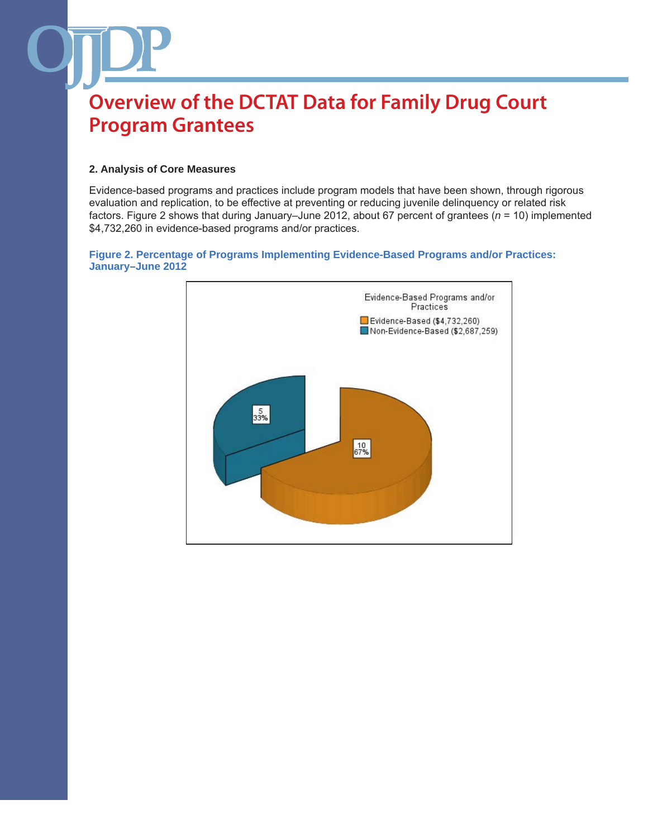#### **2. Analysis of Core Measures**

Evidence-based programs and practices include program models that have been shown, through rigorous evaluation and replication, to be effective at preventing or reducing juvenile delinquency or related risk factors. Figure 2 shows that during January–June 2012, about 67 percent of grantees (*n* = 10) implemented \$4,732,260 in evidence-based programs and/or practices.

#### **Figure 2. Percentage of Programs Implementing Evidence-Based Programs and/or Practices: January–June 2012**

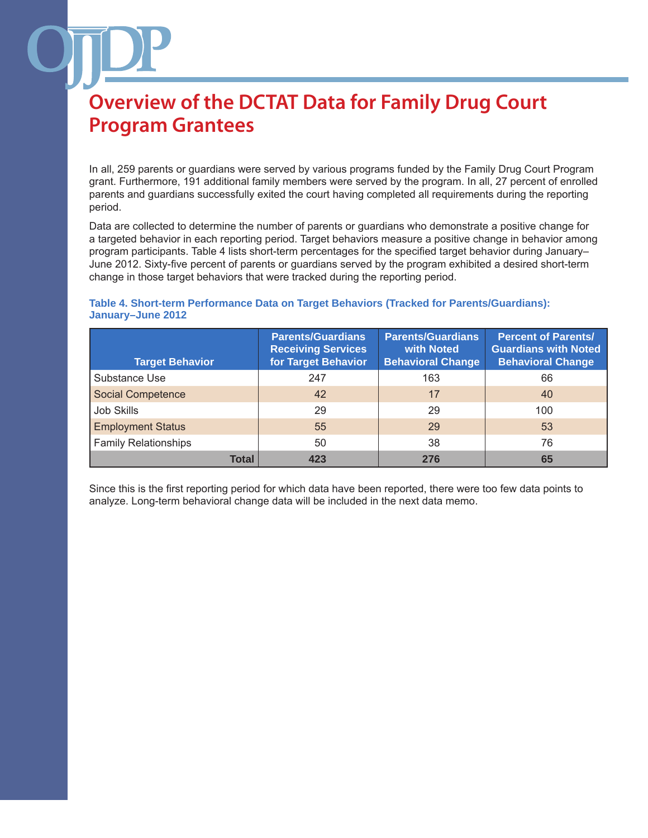In all, 259 parents or guardians were served by various programs funded by the Family Drug Court Program grant. Furthermore, 191 additional family members were served by the program. In all, 27 percent of enrolled parents and guardians successfully exited the court having completed all requirements during the reporting period.

Data are collected to determine the number of parents or guardians who demonstrate a positive change for a targeted behavior in each reporting period. Target behaviors measure a positive change in behavior among program participants. Table 4 lists short-term percentages for the specified target behavior during January– June 2012. Sixty-five percent of parents or guardians served by the program exhibited a desired short-term change in those target behaviors that were tracked during the reporting period.

#### **Table 4. Short-term Performance Data on Target Behaviors (Tracked for Parents/Guardians): January–June 2012**

| <b>Target Behavior</b>      | <b>Parents/Guardians</b><br><b>Receiving Services</b><br>for Target Behavior | <b>Parents/Guardians</b><br>with Noted<br><b>Behavioral Change</b> | <b>Percent of Parents/</b><br><b>Guardians with Noted</b><br><b>Behavioral Change</b> |
|-----------------------------|------------------------------------------------------------------------------|--------------------------------------------------------------------|---------------------------------------------------------------------------------------|
| Substance Use               | 247                                                                          | 163                                                                | 66                                                                                    |
| <b>Social Competence</b>    | 42                                                                           | 17                                                                 | 40                                                                                    |
| <b>Job Skills</b>           | 29                                                                           | 29                                                                 | 100                                                                                   |
| <b>Employment Status</b>    | 55                                                                           | 29                                                                 | 53                                                                                    |
| <b>Family Relationships</b> | 50                                                                           | 38                                                                 | 76                                                                                    |
| <b>Total</b>                | 423                                                                          | 276                                                                | 65                                                                                    |

Since this is the first reporting period for which data have been reported, there were too few data points to analyze. Long-term behavioral change data will be included in the next data memo.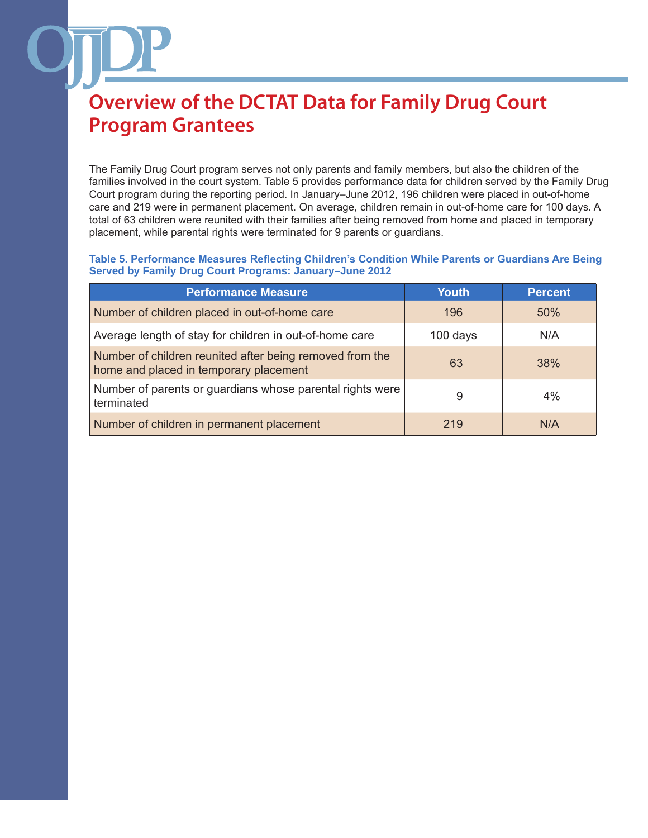The Family Drug Court program serves not only parents and family members, but also the children of the families involved in the court system. Table 5 provides performance data for children served by the Family Drug Court program during the reporting period. In January–June 2012, 196 children were placed in out-of-home care and 219 were in permanent placement. On average, children remain in out-of-home care for 100 days. A total of 63 children were reunited with their families after being removed from home and placed in temporary placement, while parental rights were terminated for 9 parents or guardians.

**Table 5. Performance Measures Reflecting Children's Condition While Parents or Guardians Are Being Served by Family Drug Court Programs: January–June 2012**

| <b>Performance Measure</b>                                                                         | <b>Youth</b> | <b>Percent</b> |
|----------------------------------------------------------------------------------------------------|--------------|----------------|
| Number of children placed in out-of-home care                                                      | 196          | 50%            |
| Average length of stay for children in out-of-home care                                            | 100 days     | N/A            |
| Number of children reunited after being removed from the<br>home and placed in temporary placement | 63           | 38%            |
| Number of parents or guardians whose parental rights were<br>terminated                            | 9            | 4%             |
| Number of children in permanent placement                                                          | 219          | N/A            |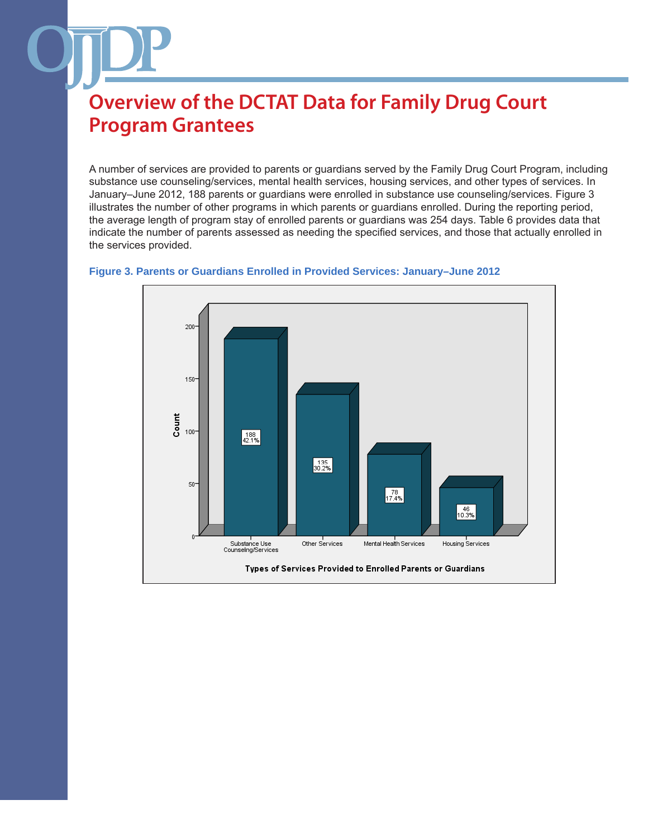A number of services are provided to parents or guardians served by the Family Drug Court Program, including substance use counseling/services, mental health services, housing services, and other types of services. In January–June 2012, 188 parents or guardians were enrolled in substance use counseling/services. Figure 3 illustrates the number of other programs in which parents or guardians enrolled. During the reporting period, the average length of program stay of enrolled parents or guardians was 254 days. Table 6 provides data that indicate the number of parents assessed as needing the specified services, and those that actually enrolled in the services provided.



#### **Figure 3. Parents or Guardians Enrolled in Provided Services: January–June 2012**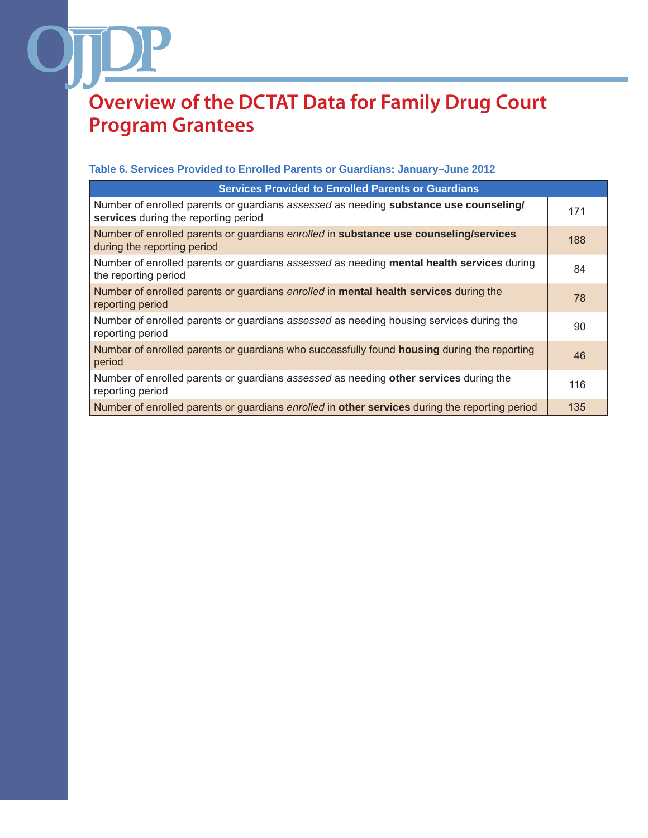### **Table 6. Services Provided to Enrolled Parents or Guardians: January–June 2012**

| <b>Services Provided to Enrolled Parents or Guardians</b>                                                                     |     |
|-------------------------------------------------------------------------------------------------------------------------------|-----|
| Number of enrolled parents or guardians assessed as needing substance use counseling/<br>services during the reporting period | 171 |
| Number of enrolled parents or guardians enrolled in substance use counseling/services<br>during the reporting period          | 188 |
| Number of enrolled parents or guardians assessed as needing mental health services during<br>the reporting period             | 84  |
| Number of enrolled parents or guardians enrolled in mental health services during the<br>reporting period                     | 78  |
| Number of enrolled parents or guardians assessed as needing housing services during the<br>reporting period                   | 90  |
| Number of enrolled parents or guardians who successfully found housing during the reporting<br>period                         | 46  |
| Number of enrolled parents or guardians assessed as needing other services during the<br>reporting period                     | 116 |
| Number of enrolled parents or guardians enrolled in other services during the reporting period                                | 135 |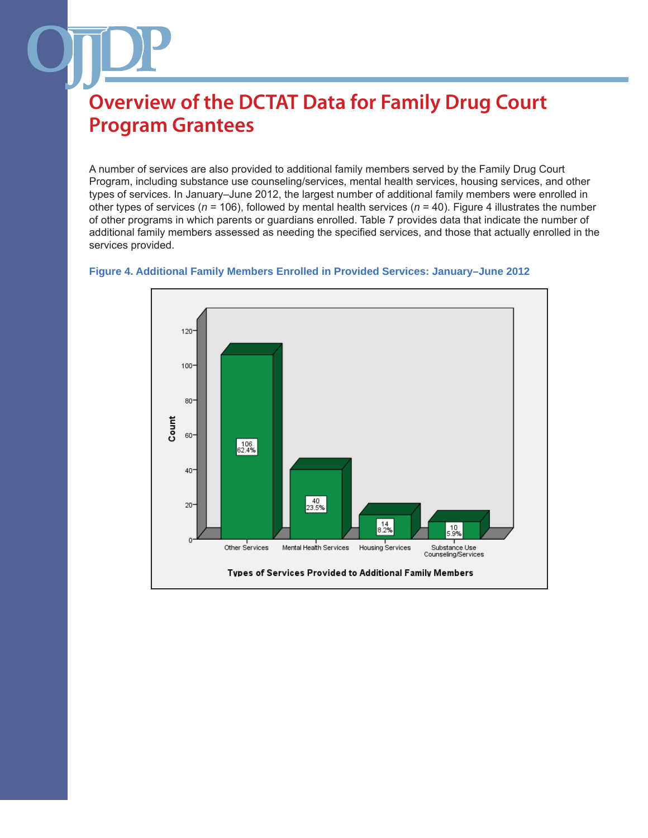A number of services are also provided to additional family members served by the Family Drug Court Program, including substance use counseling/services, mental health services, housing services, and other types of services. In January–June 2012, the largest number of additional family members were enrolled in other types of services (*n* = 106), followed by mental health services (*n* = 40). Figure 4 illustrates the number of other programs in which parents or guardians enrolled. Table 7 provides data that indicate the number of additional family members assessed as needing the specified services, and those that actually enrolled in the services provided.



#### **Figure 4. Additional Family Members Enrolled in Provided Services: January–June 2012**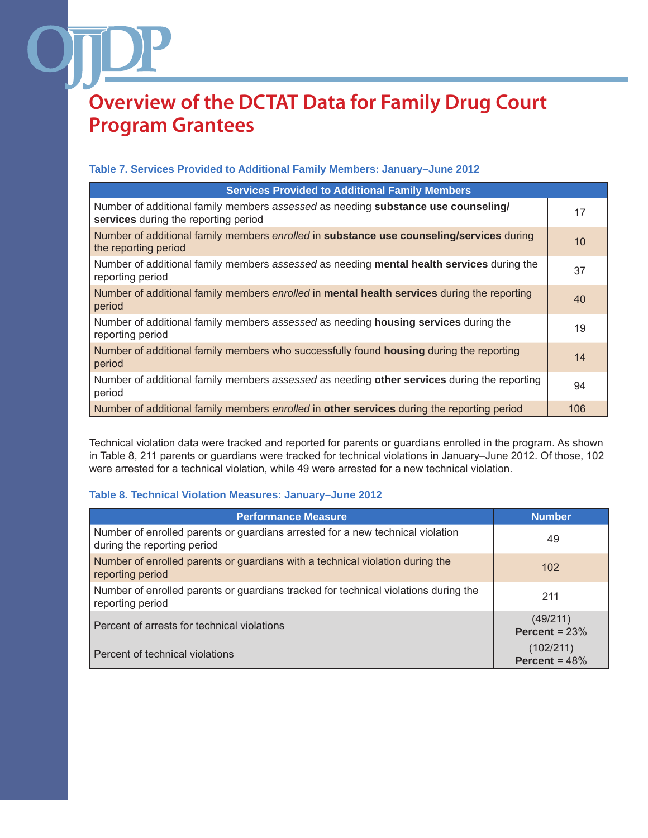#### **Table 7. Services Provided to Additional Family Members: January–June 2012**

| <b>Services Provided to Additional Family Members</b>                                                                     |     |
|---------------------------------------------------------------------------------------------------------------------------|-----|
| Number of additional family members assessed as needing substance use counseling/<br>services during the reporting period | 17  |
| Number of additional family members enrolled in substance use counseling/services during<br>the reporting period          | 10  |
| Number of additional family members assessed as needing mental health services during the<br>reporting period             | 37  |
| Number of additional family members enrolled in mental health services during the reporting<br>period                     | 40  |
| Number of additional family members assessed as needing <b>housing services</b> during the<br>reporting period            | 19  |
| Number of additional family members who successfully found <b>housing</b> during the reporting<br>period                  | 14  |
| Number of additional family members assessed as needing other services during the reporting<br>period                     | 94  |
| Number of additional family members enrolled in other services during the reporting period                                | 106 |

Technical violation data were tracked and reported for parents or guardians enrolled in the program. As shown in Table 8, 211 parents or guardians were tracked for technical violations in January–June 2012. Of those, 102 were arrested for a technical violation, while 49 were arrested for a new technical violation.

#### **Table 8. Technical Violation Measures: January–June 2012**

| <b>Performance Measure</b>                                                                                    | <b>Number</b>                |
|---------------------------------------------------------------------------------------------------------------|------------------------------|
| Number of enrolled parents or guardians arrested for a new technical violation<br>during the reporting period | 49                           |
| Number of enrolled parents or guardians with a technical violation during the<br>reporting period             | 102                          |
| Number of enrolled parents or guardians tracked for technical violations during the<br>reporting period       | 211                          |
| Percent of arrests for technical violations                                                                   | (49/211)<br>Percent = $23%$  |
| Percent of technical violations                                                                               | (102/211)<br>Percent = $48%$ |